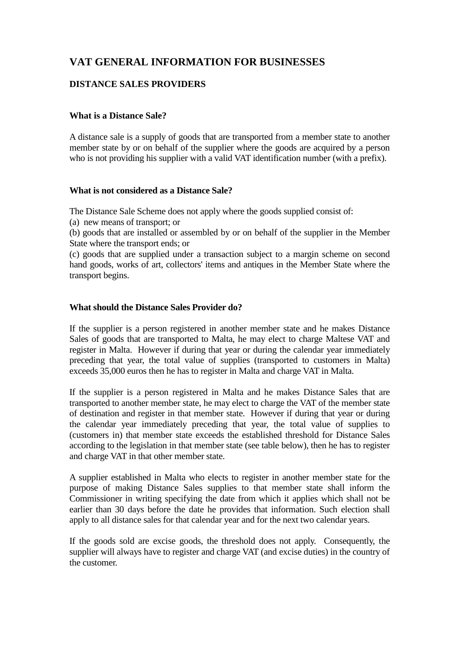# **VAT GENERAL INFORMATION FOR BUSINESSES**

## **DISTANCE SALES PROVIDERS**

## **What is a Distance Sale?**

A distance sale is a supply of goods that are transported from a member state to another member state by or on behalf of the supplier where the goods are acquired by a person who is not providing his supplier with a valid VAT identification number (with a prefix).

### **What is not considered as a Distance Sale?**

The Distance Sale Scheme does not apply where the goods supplied consist of:

(a) new means of transport; or

(b) goods that are installed or assembled by or on behalf of the supplier in the Member State where the transport ends; or

(c) goods that are supplied under a transaction subject to a margin scheme on second hand goods, works of art, collectors' items and antiques in the Member State where the transport begins.

### **What should the Distance Sales Provider do?**

If the supplier is a person registered in another member state and he makes Distance Sales of goods that are transported to Malta, he may elect to charge Maltese VAT and register in Malta. However if during that year or during the calendar year immediately preceding that year, the total value of supplies (transported to customers in Malta) exceeds 35,000 euros then he has to register in Malta and charge VAT in Malta.

If the supplier is a person registered in Malta and he makes Distance Sales that are transported to another member state, he may elect to charge the VAT of the member state of destination and register in that member state. However if during that year or during the calendar year immediately preceding that year, the total value of supplies to (customers in) that member state exceeds the established threshold for Distance Sales according to the legislation in that member state (see table below), then he has to register and charge VAT in that other member state.

A supplier established in Malta who elects to register in another member state for the purpose of making Distance Sales supplies to that member state shall inform the Commissioner in writing specifying the date from which it applies which shall not be earlier than 30 days before the date he provides that information. Such election shall apply to all distance sales for that calendar year and for the next two calendar years.

If the goods sold are excise goods, the threshold does not apply. Consequently, the supplier will always have to register and charge VAT (and excise duties) in the country of the customer.